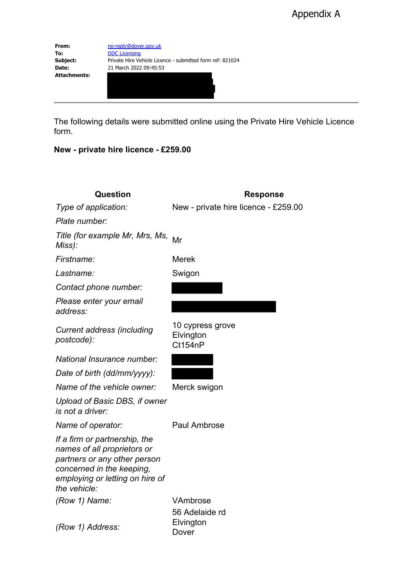**From:** [no-reply@dover.gov.uk](mailto:no-reply@dover.gov.uk)<br> **To:** DDC Licensing **To:** [DDC Licensing](mailto:licensing@DOVER.gov.uk)<br> **Subject:** Private Hire Ve **Subject:** Private Hire Vehicle Licence - submitted form ref: 821024<br> **Date:** 21 March 2022 09:45:53 **Date:** 21 March 2022 09:45:53 **Attachments:**

The following details were submitted online using the Private Hire Vehicle Licence form.

## **New - private hire licence - £259.00**

| Question                                                                                                                                                                     | <b>Response</b>                          |
|------------------------------------------------------------------------------------------------------------------------------------------------------------------------------|------------------------------------------|
| Type of application:                                                                                                                                                         | New - private hire licence - £259.00     |
| Plate number:                                                                                                                                                                |                                          |
| Title (for example Mr, Mrs, Ms, Mr<br>Miss):                                                                                                                                 |                                          |
| Firstname:                                                                                                                                                                   | <b>Merek</b>                             |
| Lastname:                                                                                                                                                                    | Swigon                                   |
| Contact phone number:                                                                                                                                                        |                                          |
| Please enter your email<br>address:                                                                                                                                          |                                          |
| <b>Current address (including</b><br>postcode):                                                                                                                              | 10 cypress grove<br>Elvington<br>Ct154nP |
| National Insurance number:                                                                                                                                                   |                                          |
| Date of birth (dd/mm/yyyy):                                                                                                                                                  |                                          |
| Name of the vehicle owner:                                                                                                                                                   | Merck swigon                             |
| Upload of Basic DBS, if owner<br><i>is not a driver:</i>                                                                                                                     |                                          |
| Name of operator:                                                                                                                                                            | <b>Paul Ambrose</b>                      |
| If a firm or partnership, the<br>names of all proprietors or<br>partners or any other person<br>concerned in the keeping,<br>employing or letting on hire of<br>the vehicle: |                                          |
| (Row 1) Name:                                                                                                                                                                | VAmbrose                                 |
| (Row 1) Address:                                                                                                                                                             | 56 Adelaide rd<br>Elvington<br>Dover     |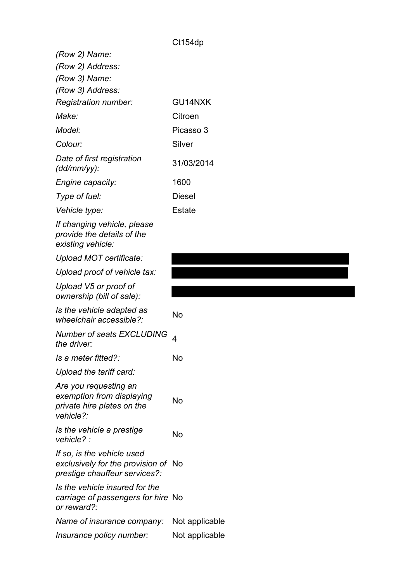| (Row 2) Name:                                                                                      |                |
|----------------------------------------------------------------------------------------------------|----------------|
| (Row 2) Address:                                                                                   |                |
| (Row 3) Name:                                                                                      |                |
| (Row 3) Address:<br>Registration number:                                                           | GU14NXK        |
| Make:                                                                                              | Citroen        |
| Model:                                                                                             | Picasso 3      |
| Colour:                                                                                            | Silver         |
| Date of first registration<br>$(dd/mm/yy)$ :                                                       | 31/03/2014     |
| Engine capacity:                                                                                   | 1600           |
| Type of fuel:                                                                                      | <b>Diesel</b>  |
| <i>Vehicle type:</i>                                                                               | <b>Estate</b>  |
| If changing vehicle, please<br>provide the details of the<br>existing vehicle:                     |                |
| Upload MOT certificate:                                                                            |                |
| Upload proof of vehicle tax:                                                                       |                |
| Upload V5 or proof of<br>ownership (bill of sale):                                                 |                |
| Is the vehicle adapted as<br>wheelchair accessible?:                                               | No             |
| Number of seats EXCLUDING<br>the driver:                                                           | 4              |
| Is a meter fitted?:                                                                                | No             |
| Upload the tariff card:                                                                            |                |
| Are you requesting an<br>exemption from displaying<br>private hire plates on the<br>vehicle?       | No             |
| Is the vehicle a prestige<br>vehicle? :                                                            | No             |
| If so, is the vehicle used<br>exclusively for the provision of No<br>prestige chauffeur services?: |                |
| Is the vehicle insured for the<br>carriage of passengers for hire No<br>or reward?:                |                |
| Name of insurance company:                                                                         | Not applicable |
| Insurance policy number:                                                                           | Not applicable |